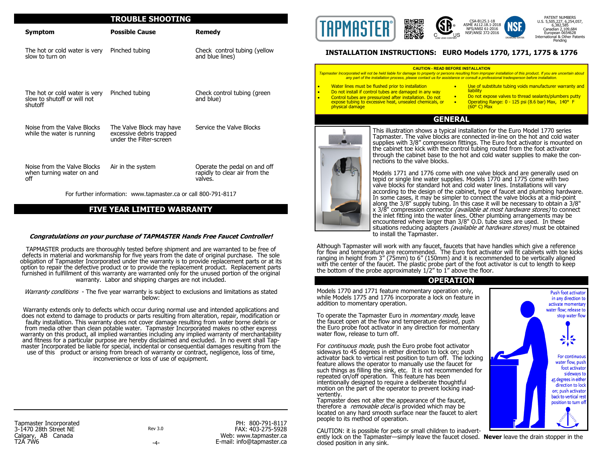#### **TROUBLE SHOOTING**

| <b>Symptom</b>                                                          | <b>Possible Cause</b>                                                           | Remedy                                                                   |
|-------------------------------------------------------------------------|---------------------------------------------------------------------------------|--------------------------------------------------------------------------|
| The hot or cold water is very<br>slow to turn on                        | Pinched tubing                                                                  | Check control tubing (yellow<br>and blue lines)                          |
| The hot or cold water is very<br>slow to shutoff or will not<br>shutoff | Pinched tubing                                                                  | Check control tubing (green<br>and blue)                                 |
| Noise from the Valve Blocks<br>while the water is running               | The Valve Block may have<br>excessive debris trapped<br>under the Filter-screen | Service the Valve Blocks                                                 |
| Noise from the Valve Blocks<br>when turning water on and<br>off         | Air in the system                                                               | Operate the pedal on and off<br>rapidly to clear air from the<br>valves. |

For further information: www.tapmaster.ca or call 800-791-8117

### **FIVE YEAR LIMITED WARRANTY**

#### **Congratulations on your purchase of TAPMASTER Hands Free Faucet Controller!**

TAPMASTER products are thoroughly tested before shipment and are warranted to be free of defects in material and workmanship for five years from the date of original purchase. The sole obligation of Tapmaster Incorporated under the warranty is to provide replacement parts or at its option to repair the defective product or to provide the replacement product. Replacement parts furnished in fulfillment of this warranty are warranted only for the unused portion of the original warranty. Labor and shipping charges are not included.

Warranty conditions - The five year warranty is subject to exclusions and limitations as stated below:

Warranty extends only to defects which occur during normal use and intended applications and does not extend to damage to products or parts resulting from alteration, repair, modification or faulty installation. This warranty does not cover damage resulting from water borne debris or from media other than clean potable water. Tapmaster Incorporated makes no other express warranty on this product, all implied warranties including any implied warranty of merchantability and fitness for a particular purpose are hereby disclaimed and excluded. In no event shall Tapmaster Incorporated be liable for special, incidental or consequential damages resulting from the use of this product or arising from breach of warranty or contract, negligence, loss of time, inconvenience or loss of use of equipment.

Tapmaster Incorporated 3-1470 28th Street NE Calgary, AB Canada T2A 7W6

Rev 3.0 -4-

PH: 800-791-8117 FAX: 403-275-5928 Web: www.tapmaster.ca E-mail: info@tapmaster.ca



### **INSTALLATION INSTRUCTIONS: EURO Models 1770, 1771, 1775 & 1776**

#### **CAUTION - READ BEFORE INSTALLATION**

*Tapmaster Incorporated will not be held liable for damage to property or persons resulting from improper installation of this product. If you are uncertain about any part of the installation process, please contact us for assistance or consult a professional tradesperson before installation.*

- Water lines must be flushed prior to installation
- Do not install if control tubes are damaged in any way
- Control tubes are pressurized after installation. Do not expose tubing to excessive heat, unsealed chemicals, or physical damage
- Use of substitute tubing voids manufacturer warranty and **liability** • Do not expose valves to thread sealants/plumbers putty
- Operating Range: 0 125 psi (8.6 bar) Max, 140° F (60° C) Max

## **GENERAL**



This illustration shows a typical installation for the Euro Model 1770 series Tapmaster. The valve blocks are connected in-line on the hot and cold water supplies with 3/8" compression fittings. The Euro foot activator is mounted on the cabinet toe kick with the control tubing routed from the foot activator through the cabinet base to the hot and cold water supplies to make the connections to the valve blocks.

Models 1771 and 1776 come with one valve block and are generally used on tepid or single line water supplies. Models 1770 and 1775 come with two valve blocks for standard hot and cold water lines. Installations will vary according to the design of the cabinet, type of faucet and plumbing hardware. In some cases, it may be simpler to connect the valve blocks at a mid-point along the 3/8" supply tubing. In this case it will be necessary to obtain a 3/8" x 3/8" compression connector *(available at most hardware stores)* to connect the inlet fitting into the water lines. Other plumbing arrangements may be encountered where larger than 3/8" O.D. tube sizes are used. In these situations reducing adapters (available at hardware stores) must be obtained to install the Tapmaster.

Although Tapmaster will work with any faucet, faucets that have handles which give a reference for flow and temperature are recommended. The Euro foot activator will fit cabinets with toe kicks ranging in height from 3" (75mm) to 6" (150mm) and it is recommended to be vertically aligned with the center of the faucet. The plastic probe part of the foot activator is cut to length to keep the bottom of the probe approximately  $1/2$ " to  $1$ " above the floor.

#### **OPERATION**

Models 1770 and 1771 feature momentary operation only, while Models 1775 and 1776 incorporate a lock on feature in addition to momentary operation.

To operate the Tapmaster Euro in *momentary mode*, leave the faucet open at the flow and temperature desired, push the Euro probe foot activator in any direction for momentary water flow, release to turn off.

For *continuous mode*, push the Euro probe foot activator sideways to 45 degrees in either direction to lock on; push activator back to vertical rest position to turn off. The locking feature allows the operator to manually use the faucet for such things as filling the sink, etc. It is not recommended for repeated on/off operation. This feature has been intentionally designed to require a deliberate thoughtful motion on the part of the operator to prevent locking inadvertently.

Tapmaster does not alter the appearance of the faucet, therefore a *removable decal* is provided which may be located on any hard smooth surface near the faucet to alert people to its method of operation.

CAUTION: it is possible for pets or small children to inadvertently lock on the Tapmaster—simply leave the faucet closed. **Never** leave the drain stopper in the closed position in any sink.